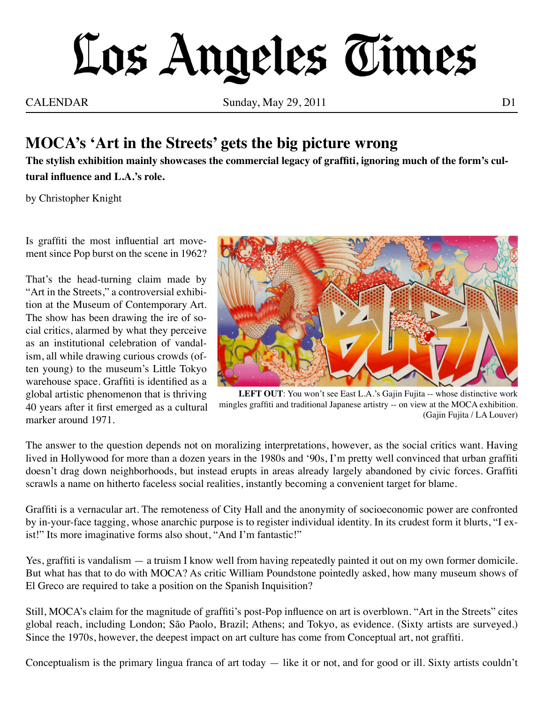## Los Angeles Times

CALENDAR Sunday, May 29, 2011 D1

## **MOCA's 'Art in the Streets' gets the big picture wrong**

**The stylish exhibition mainly showcases the commercial legacy of graffiti, ignoring much of the form's cultural influence and L.A.'s role.**

by Christopher Knight

Is graffiti the most influential art movement since Pop burst on the scene in 1962?

That's the head-turning claim made by "Art in the Streets," a controversial exhibition at the Museum of Contemporary Art. The show has been drawing the ire of social critics, alarmed by what they perceive as an institutional celebration of vandalism, all while drawing curious crowds (often young) to the museum's Little Tokyo warehouse space. Graffiti is identified as a global artistic phenomenon that is thriving 40 years after it first emerged as a cultural marker around 1971.



LEFT OUT: You won't see East L.A.'s Gajin Fujita -- whose distinctive work mingles graffiti and traditional Japanese artistry -- on view at the MOCA exhibition. (Gajin Fujita / LA Louver)

The answer to the question depends not on moralizing interpretations, however, as the social critics want. Having lived in Hollywood for more than a dozen years in the 1980s and '90s, I'm pretty well convinced that urban graffiti doesn't drag down neighborhoods, but instead erupts in areas already largely abandoned by civic forces. Graffiti scrawls a name on hitherto faceless social realities, instantly becoming a convenient target for blame.

Graffiti is a vernacular art. The remoteness of City Hall and the anonymity of socioeconomic power are confronted by in-your-face tagging, whose anarchic purpose is to register individual identity. In its crudest form it blurts, "I exist!" Its more imaginative forms also shout, "And I'm fantastic!"

Yes, graffiti is vandalism — a truism I know well from having repeatedly painted it out on my own former domicile. But what has that to do with MOCA? As critic William Poundstone pointedly asked, how many museum shows of El Greco are required to take a position on the Spanish Inquisition?

Still, MOCA's claim for the magnitude of graffiti's post-Pop influence on art is overblown. "Art in the Streets" cites global reach, including London; São Paolo, Brazil; Athens; and Tokyo, as evidence. (Sixty artists are surveyed.) Since the 1970s, however, the deepest impact on art culture has come from Conceptual art, not graffiti.

Conceptualism is the primary lingua franca of art today  $-$  like it or not, and for good or ill. Sixty artists couldn't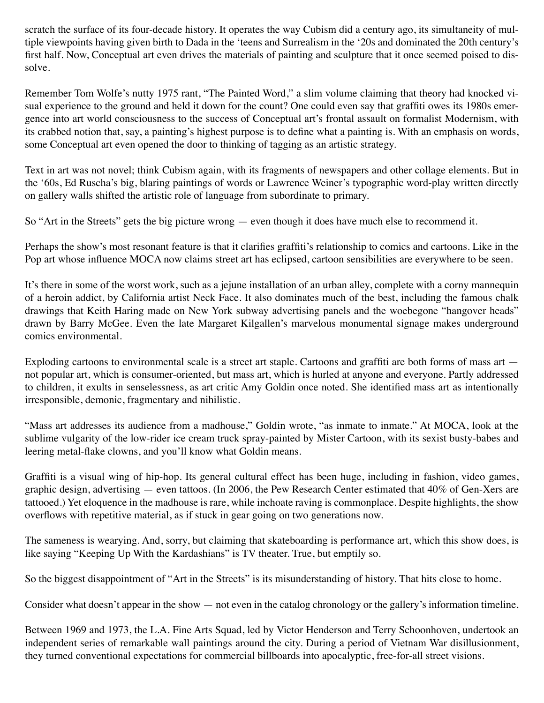scratch the surface of its four-decade history. It operates the way Cubism did a century ago, its simultaneity of multiple viewpoints having given birth to Dada in the 'teens and Surrealism in the '20s and dominated the 20th century's first half. Now, Conceptual art even drives the materials of painting and sculpture that it once seemed poised to dissolve.

Remember Tom Wolfe's nutty 1975 rant, "The Painted Word," a slim volume claiming that theory had knocked visual experience to the ground and held it down for the count? One could even say that graffiti owes its 1980s emergence into art world consciousness to the success of Conceptual art's frontal assault on formalist Modernism, with its crabbed notion that, say, a painting's highest purpose is to define what a painting is. With an emphasis on words, some Conceptual art even opened the door to thinking of tagging as an artistic strategy.

Text in art was not novel; think Cubism again, with its fragments of newspapers and other collage elements. But in the '60s, Ed Ruscha's big, blaring paintings of words or Lawrence Weiner's typographic word-play written directly on gallery walls shifted the artistic role of language from subordinate to primary.

So "Art in the Streets" gets the big picture wrong — even though it does have much else to recommend it.

Perhaps the show's most resonant feature is that it clarifies graffiti's relationship to comics and cartoons. Like in the Pop art whose influence MOCA now claims street art has eclipsed, cartoon sensibilities are everywhere to be seen.

It's there in some of the worst work, such as a jejune installation of an urban alley, complete with a corny mannequin of a heroin addict, by California artist Neck Face. It also dominates much of the best, including the famous chalk drawings that Keith Haring made on New York subway advertising panels and the woebegone "hangover heads" drawn by Barry McGee. Even the late Margaret Kilgallen's marvelous monumental signage makes underground comics environmental.

Exploding cartoons to environmental scale is a street art staple. Cartoons and graffiti are both forms of mass art not popular art, which is consumer-oriented, but mass art, which is hurled at anyone and everyone. Partly addressed to children, it exults in senselessness, as art critic Amy Goldin once noted. She identified mass art as intentionally irresponsible, demonic, fragmentary and nihilistic.

"Mass art addresses its audience from a madhouse," Goldin wrote, "as inmate to inmate." At MOCA, look at the sublime vulgarity of the low-rider ice cream truck spray-painted by Mister Cartoon, with its sexist busty-babes and leering metal-flake clowns, and you'll know what Goldin means.

Graffiti is a visual wing of hip-hop. Its general cultural effect has been huge, including in fashion, video games, graphic design, advertising — even tattoos. (In 2006, the Pew Research Center estimated that 40% of Gen-Xers are tattooed.) Yet eloquence in the madhouse is rare, while inchoate raving is commonplace. Despite highlights, the show overflows with repetitive material, as if stuck in gear going on two generations now.

The sameness is wearying. And, sorry, but claiming that skateboarding is performance art, which this show does, is like saying "Keeping Up With the Kardashians" is TV theater. True, but emptily so.

So the biggest disappointment of "Art in the Streets" is its misunderstanding of history. That hits close to home.

Consider what doesn't appear in the show — not even in the catalog chronology or the gallery's information timeline.

Between 1969 and 1973, the L.A. Fine Arts Squad, led by Victor Henderson and Terry Schoonhoven, undertook an independent series of remarkable wall paintings around the city. During a period of Vietnam War disillusionment, they turned conventional expectations for commercial billboards into apocalyptic, free-for-all street visions.